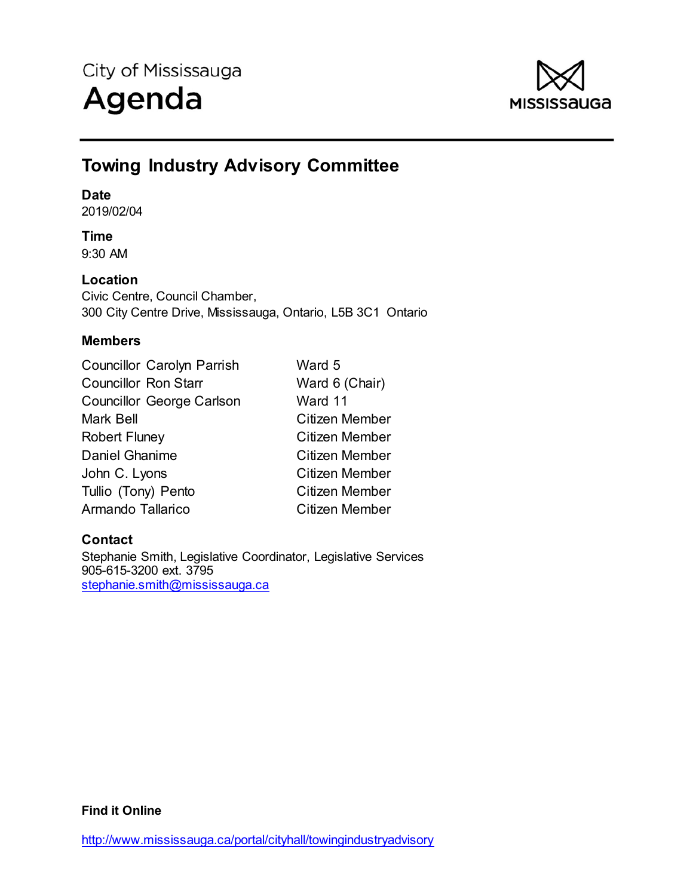

## **Towing Industry Advisory Committee**

#### **Date**

2019/02/04

## **Time**

9:30 AM

## **Location**

Civic Centre, Council Chamber, 300 City Centre Drive, Mississauga, Ontario, L5B 3C1 Ontario

## **Members**

| Ward 5         |
|----------------|
| Ward 6 (Chair) |
| Ward 11        |
| Citizen Member |
| Citizen Member |
| Citizen Member |
| Citizen Member |
| Citizen Member |
| Citizen Member |
|                |

## **Contact**

Stephanie Smith, Legislative Coordinator, Legislative Services 905-615-3200 ext. 3795 stephanie.smith@mississauga.ca

**Find it Online**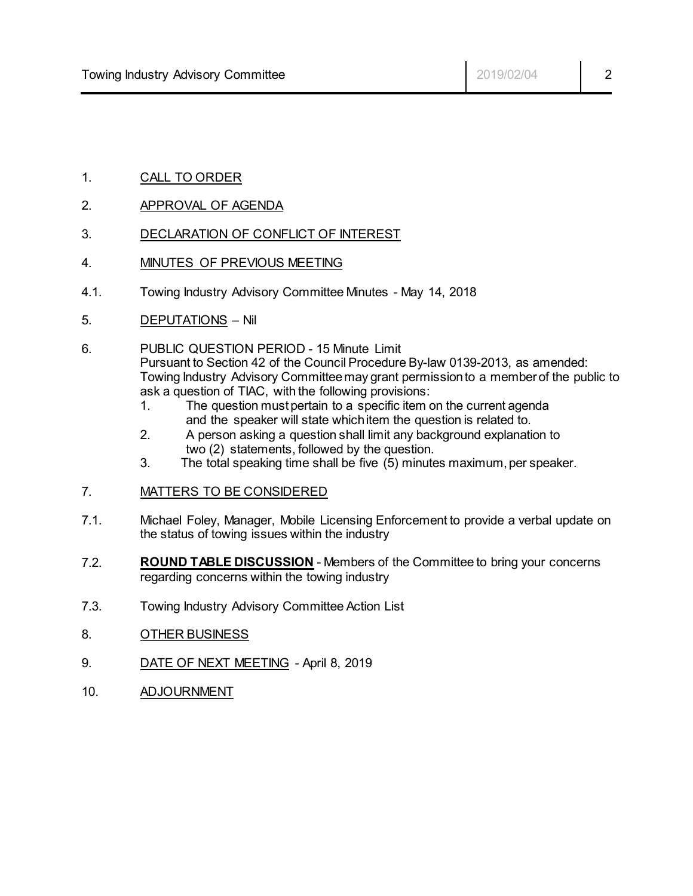- 1. CALL TO ORDER
- 2. APPROVAL OF AGENDA
- 3. DECLARATION OF CONFLICT OF INTEREST
- 4. MINUTES OF PREVIOUS MEETING
- 4.1. Towing Industry Advisory Committee Minutes May 14, 2018
- 5. DEPUTATIONS Nil
- 6. PUBLIC QUESTION PERIOD 15 Minute Limit Pursuant to Section 42 of the Council Procedure By-law 0139-2013, as amended: Towing Industry Advisory Committee may grant permissionto a member of the public to ask a question of TIAC, with the following provisions:
	- 1. The question must pertain to a specific item on the current agenda and the speaker will state which item the question is related to.
	- 2. A person asking a question shall limit any background explanation to two (2) statements, followed by the question.
	- 3. The total speaking time shall be five (5) minutes maximum, per speaker.
- 7. MATTERS TO BE CONSIDERED
- 7.1. Michael Foley, Manager, Mobile Licensing Enforcement to provide a verbal update on the status of towing issues within the industry
- 7.2. **ROUND TABLE DISCUSSION** Members of the Committee to bring your concerns regarding concerns within the towing industry
- 7.3. Towing Industry Advisory Committee Action List
- 8. OTHER BUSINESS
- 9. DATE OF NEXT MEETING April 8, 2019
- 10. ADJOURNMENT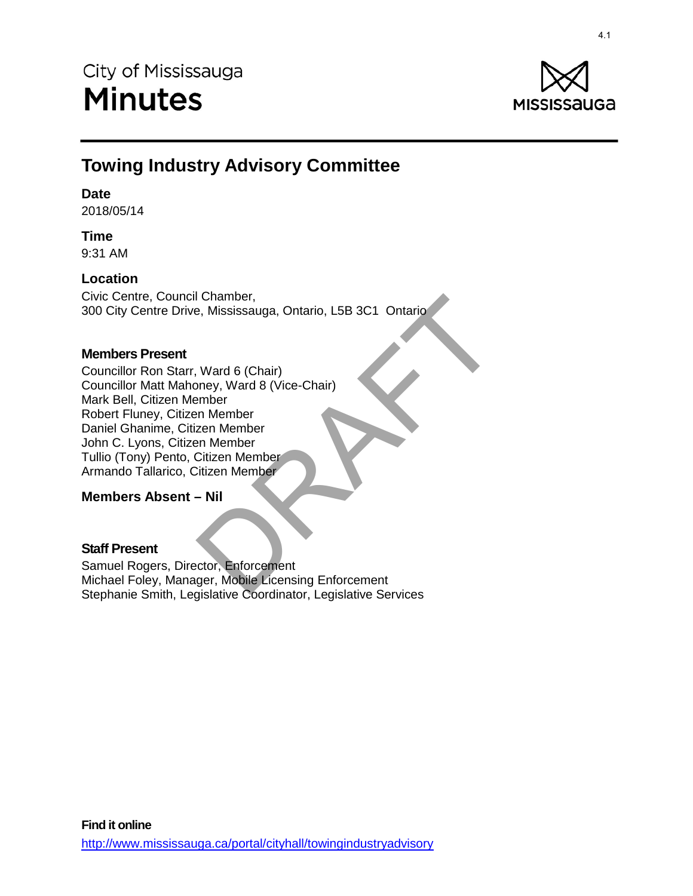

# **Towing Industry Advisory Committee**

#### **Date**

2018/05/14

## **Time**

9:31 AM

## **Location**

Civic Centre, Council Chamber, 300 City Centre Drive, Mississauga, Ontario, L5B 3C1 Ontario

### **Members Present**

Councillor Ron Starr, Ward 6 (Chair) Councillor Matt Mahoney, Ward 8 (Vice-Chair) Mark Bell, Citizen Member Robert Fluney, Citizen Member Daniel Ghanime, Citizen Member John C. Lyons, Citizen Member Tullio (Tony) Pento, Citizen Member Armando Tallarico, Citizen Member DRAFT 4.1

### **Members Absent – Nil**

### **Staff Present**

Samuel Rogers, Director, Enforcement Michael Foley, Manager, Mobile Licensing Enforcement Stephanie Smith, Legislative Coordinator, Legislative Services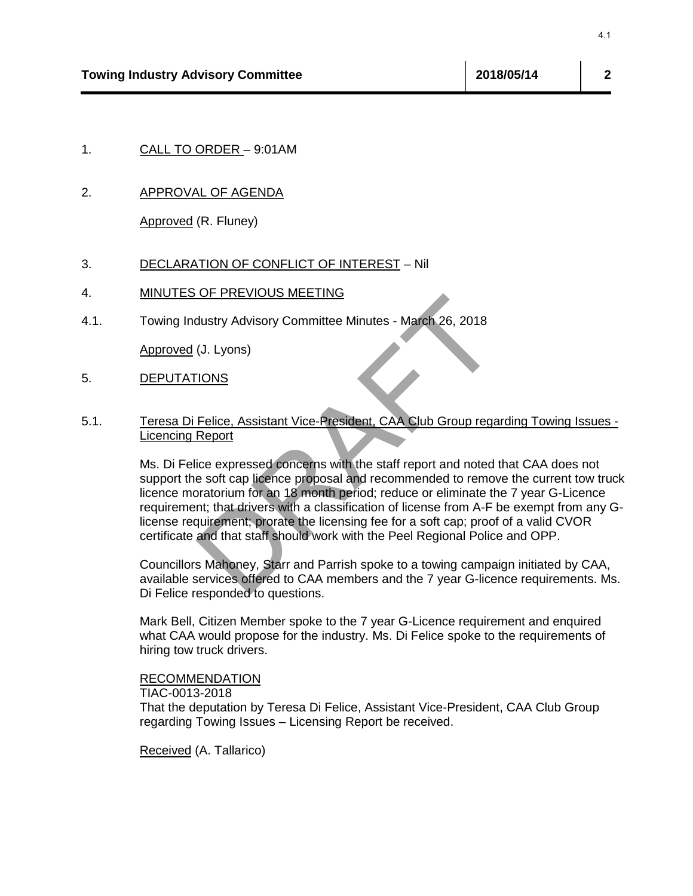2. APPROVAL OF AGENDA

Approved (R. Fluney)

#### 3. DECLARATION OF CONFLICT OF INTEREST – Nil

#### 4. MINUTES OF PREVIOUS MEETING

4.1. Towing Industry Advisory Committee Minutes - March 26, 2018

Approved (J. Lyons)

5. DEPUTATIONS

#### 5.1. Teresa Di Felice, Assistant Vice-President, CAA Club Group regarding Towing Issues - Licencing Report

Ms. Di Felice expressed concerns with the staff report and noted that CAA does not support the soft cap licence proposal and recommended to remove the current tow truck licence moratorium for an 18 month period; reduce or eliminate the 7 year G-Licence requirement; that drivers with a classification of license from A-F be exempt from any Glicense requirement; prorate the licensing fee for a soft cap; proof of a valid CVOR certificate and that staff should work with the Peel Regional Police and OPP. <sup>4.1</sup><br>
Visory Committee<br>
ORDER – 9:01AM<br>
N<u>L OF AGENDA</u><br>
(R. Fluney)<br>
TION OF CONFLICT OF INTEREST – Nil<br>
OF PREVIOUS MEETING<br>
OF PREVIOUS MEETING<br>
USERY Advisory Committee Minutes - March 26, 2018<br>
(J. Lyons)<br>
TIONS<br>
Feli

Councillors Mahoney, Starr and Parrish spoke to a towing campaign initiated by CAA, available services offered to CAA members and the 7 year G-licence requirements. Ms. Di Felice responded to questions.

Mark Bell, Citizen Member spoke to the 7 year G-Licence requirement and enquired what CAA would propose for the industry. Ms. Di Felice spoke to the requirements of hiring tow truck drivers.

#### RECOMMENDATION

TIAC-0013-2018

That the deputation by Teresa Di Felice, Assistant Vice-President, CAA Club Group regarding Towing Issues – Licensing Report be received.

Received (A. Tallarico)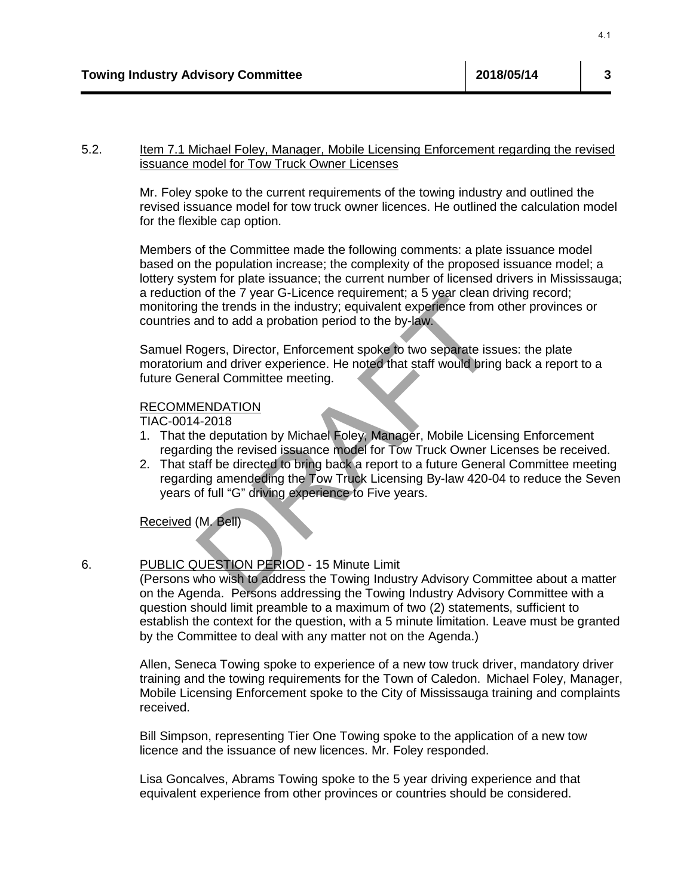#### 5.2. Item 7.1 Michael Foley, Manager, Mobile Licensing Enforcement regarding the revised issuance model for Tow Truck Owner Licenses

Mr. Foley spoke to the current requirements of the towing industry and outlined the revised issuance model for tow truck owner licences. He outlined the calculation model for the flexible cap option.

Members of the Committee made the following comments: a plate issuance model based on the population increase; the complexity of the proposed issuance model; a lottery system for plate issuance; the current number of licensed drivers in Mississauga; a reduction of the 7 year G-Licence requirement; a 5 year clean driving record; monitoring the trends in the industry; equivalent experience from other provinces or countries and to add a probation period to the by-law. <sup>4.1</sup><br>
Nisory Committee<br>
inchael Foley, Manager, Mobile Licensing Enforcement regarding the revise<br>
inchael For Tow Truck Owner Licenses<br>
spoke to the current requirements of the towing industry and outlined the<br>
spoke to

Samuel Rogers, Director, Enforcement spoke to two separate issues: the plate moratorium and driver experience. He noted that staff would bring back a report to a future General Committee meeting.

#### RECOMMENDATION

TIAC-0014-2018

- 1. That the deputation by Michael Foley, Manager, Mobile Licensing Enforcement regarding the revised issuance model for Tow Truck Owner Licenses be received.
- 2. That staff be directed to bring back a report to a future General Committee meeting regarding amendeding the Tow Truck Licensing By-law 420-04 to reduce the Seven years of full "G" driving experience to Five years.

Received (M. Bell)

### 6. PUBLIC QUESTION PERIOD - 15 Minute Limit

(Persons who wish to address the Towing Industry Advisory Committee about a matter on the Agenda. Persons addressing the Towing Industry Advisory Committee with a question should limit preamble to a maximum of two (2) statements, sufficient to establish the context for the question, with a 5 minute limitation. Leave must be granted by the Committee to deal with any matter not on the Agenda.)

Allen, Seneca Towing spoke to experience of a new tow truck driver, mandatory driver training and the towing requirements for the Town of Caledon. Michael Foley, Manager, Mobile Licensing Enforcement spoke to the City of Mississauga training and complaints received.

Bill Simpson, representing Tier One Towing spoke to the application of a new tow licence and the issuance of new licences. Mr. Foley responded.

Lisa Goncalves, Abrams Towing spoke to the 5 year driving experience and that equivalent experience from other provinces or countries should be considered.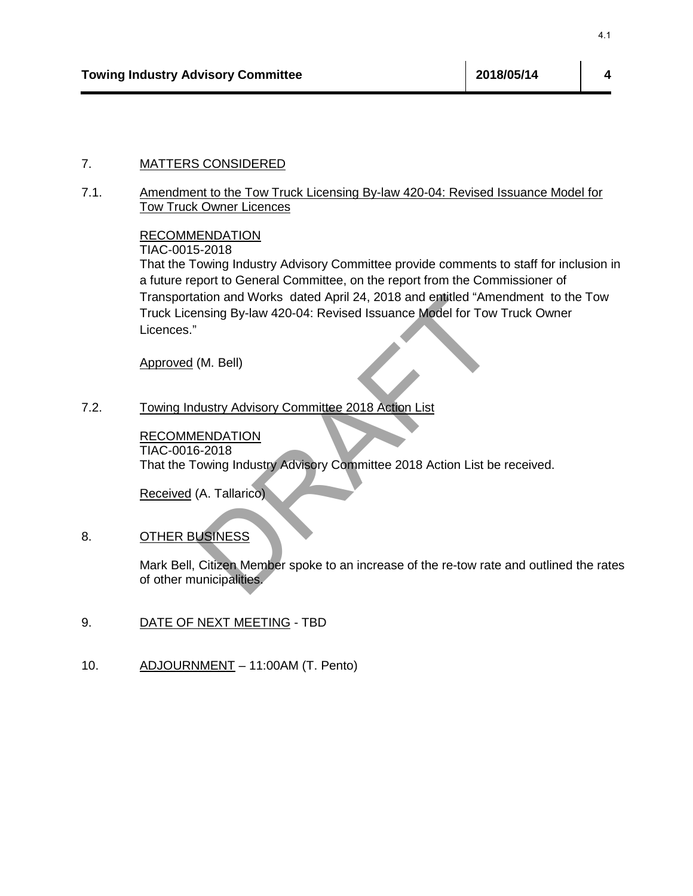## 7. MATTERS CONSIDERED

7.1. Amendment to the Tow Truck Licensing By-law 420-04: Revised Issuance Model for Tow Truck Owner Licences

#### RECOMMENDATION

TIAC-0015-2018

That the Towing Industry Advisory Committee provide comments to staff for inclusion in a future report to General Committee, on the report from the Commissioner of Transportation and Works dated April 24, 2018 and entitled "Amendment to the Tow Truck Licensing By-law 420-04: Revised Issuance Model for Tow Truck Owner Licences." <sup>4.1</sup><br>
SCONSIDERED<br>
In the Tow Truck Licensing By-law 420-04: Revised Issuance Model for<br>
<u>nt other Tow Truck Licensing By-law 420-04: Revised Issuance Model for<br>
ENDATION<br>
point to General Committee, on the report from th</u>

Approved (M. Bell)

7.2. Towing Industry Advisory Committee 2018 Action List

RECOMMENDATION TIAC-0016-2018 That the Towing Industry Advisory Committee 2018 Action List be received.

Received (A. Tallarico)

#### 8. OTHER BUSINESS

Mark Bell, Citizen Member spoke to an increase of the re-tow rate and outlined the rates of other municipalities.

- 9. DATE OF NEXT MEETING TBD
- 10. ADJOURNMENT 11:00AM (T. Pento)